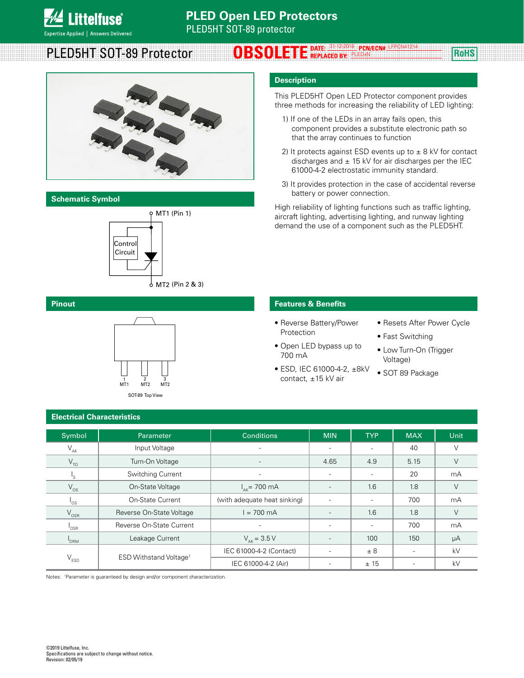

#### PLED5HT SOT-89 Protector **OBSOLETE** DATE: 31-12-2018 PCN/ECN# LEPCN41214 ROHS PLEDxN LFPCN41214



#### **Schematic Symbol**



L

#### **Pinout**



## **Description**

This PLED5HT Open LED Protector component provides three methods for increasing the reliability of LED lighting:

- 1) If one of the LEDs in an array fails open, this component provides a substitute electronic path so that the array continues to function
- 2) It protects against ESD events up to  $\pm$  8 kV for contact discharges and  $\pm$  15 kV for air discharges per the IEC 61000-4-2 electrostatic immunity standard.
- 3) It provides protection in the case of accidental reverse battery or power connection.

High reliability of lighting functions such as traffic lighting, aircraft lighting, advertising lighting, and runway lighting demand the use of a component such as the PLED5HT.

### **Features & Benefits**

- Reverse Battery/Power Protection
- Open LED bypass up to 700 mA
- ESD, IEC 61000-4-2, ±8kV contact, ±15 kV air
- Resets After Power Cycle
- Fast Switching
- Low Turn-On (Trigger Voltage)
	- SOT 89 Package

| Symbol                      | Parameter                          | <b>Conditions</b>            | <b>MIN</b>               | <b>TYP</b>               | <b>MAX</b>               | Unit   |
|-----------------------------|------------------------------------|------------------------------|--------------------------|--------------------------|--------------------------|--------|
| $V_{AK}$                    | Input Voltage                      |                              | $\overline{\phantom{0}}$ |                          | 40                       | $\vee$ |
| $V_{TO}$                    | Turn-On Voltage                    | $\overline{\phantom{a}}$     | 4.65                     | 4.9                      | 5.15                     | $\vee$ |
| $\mathsf{I}_\mathsf{S}$     | Switching Current                  |                              | $\overline{a}$           |                          | 20                       | mA     |
| $V_{OS}$                    | On-State Voltage                   | $I_{\text{av}}$ = 700 mA     |                          | 1.6                      | 1.8                      | V      |
| $\mathsf{I}_{\mathsf{OS}}$  | <b>On-State Current</b>            | (with adequate heat sinking) | $\overline{\phantom{0}}$ |                          | 700                      | mA     |
| $V_{OSR}$                   | Reverse On-State Voltage           | $I = 700$ mA                 | $\overline{\phantom{a}}$ | 1.6                      | 1.8                      | $\vee$ |
| $\mathsf{I}_{\mathsf{OSR}}$ | Reverse On-State Current           |                              | $\overline{\phantom{a}}$ | $\overline{\phantom{a}}$ | 700                      | mA     |
| <b>DRM</b>                  | Leakage Current                    | $V_{\text{ak}} = 3.5 V$      |                          | 100                      | 150                      | μA     |
| $V_{ESD}$                   | ESD Withstand Voltage <sup>1</sup> | IEC 61000-4-2 (Contact)      | $\overline{\phantom{a}}$ | ± 8                      | $\overline{\phantom{0}}$ | kV     |
|                             |                                    | IEC 61000-4-2 (Air)          |                          | ±15                      |                          | kV     |

Notes: 1 Parameter is guaranteed by design and/or component characterization.

**Electrical Characteristics**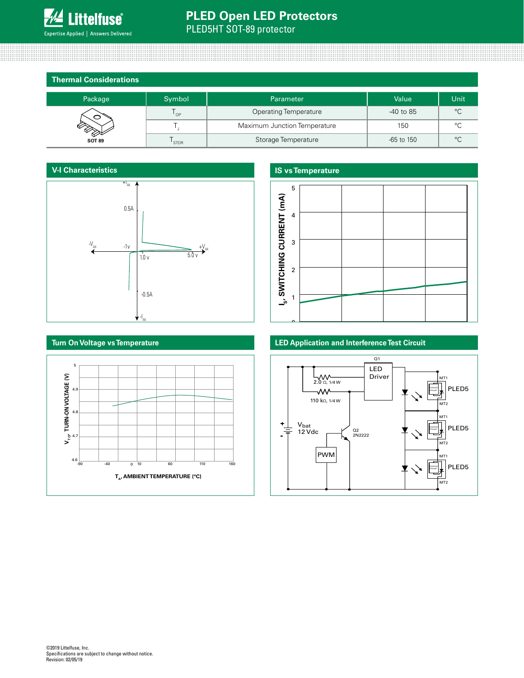

## **PLED Open LED Protectors** PLED5HT SOT-89 protector

**Thermal Considerations**

| Package       | Symbol      | <b>Parameter</b>             | Value        | Unit    |
|---------------|-------------|------------------------------|--------------|---------|
|               | ' OP        | <b>Operating Temperature</b> | -40 to 85    | °C      |
|               |             | Maximum Junction Temperature | 150          | $\circ$ |
| <b>SOT 89</b> | <b>STOR</b> | Storage Temperature          | $-65$ to 150 | °C      |

#### **V-I Characteristics**



## **IS vs Temperature**



### **LED Application and Interference Test Circuit**



## **Turn On Voltage vs Temperature**

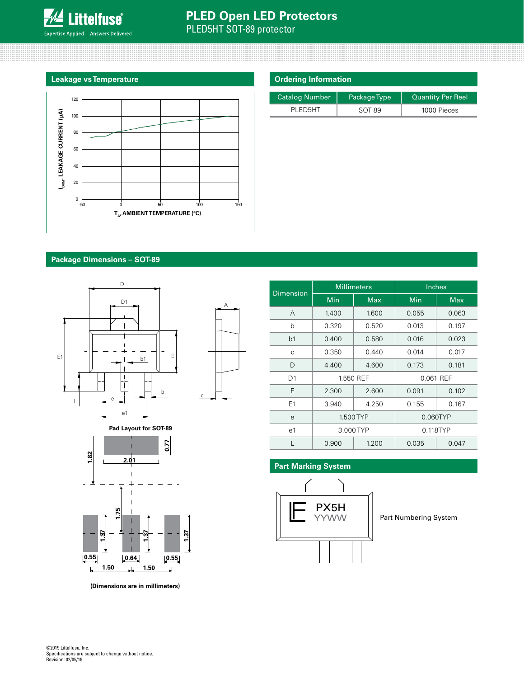

## **PLED Open LED Protectors**

PLED5HT SOT-89 protector



| <b>Ordering Information</b> |              |                          |  |  |
|-----------------------------|--------------|--------------------------|--|--|
| <b>Catalog Number</b>       | Package Type | <b>Quantity Per Reel</b> |  |  |
| PI FD5HT                    | SOT 89       | 1000 Pieces              |  |  |

### **Package Dimensions – SOT-89**



**Pad Layout for SOT-89**



**(Dimensions are in millimeters)**

| <b>Dimension</b> | <b>Millimeters</b> |            | Inches         |            |  |
|------------------|--------------------|------------|----------------|------------|--|
|                  | Min                | <b>Max</b> | Min            | <b>Max</b> |  |
| A                | 1.400              | 1.600      | 0.055          | 0.063      |  |
| b                | 0.320              | 0.520      | 0.013          | 0.197      |  |
| b1               | 0.400              | 0.580      | 0.016          | 0.023      |  |
| С                | 0.350              | 0.440      | 0.014          | 0.017      |  |
| D                | 4.400              | 4.600      | 0.173          | 0.181      |  |
| D <sub>1</sub>   | 1.550 REF          |            | 0.061 REF      |            |  |
| E                | 2.300              | 2.600      | 0.091          | 0.102      |  |
| E1               | 3.940              | 4.250      | 0.155          | 0.167      |  |
| е                | 1.500 TYP          |            | 0.060TYP       |            |  |
| e1               | 3.000 TYP          |            | 0.118TYP       |            |  |
|                  | 0.900              | 1.200      | 0.047<br>0.035 |            |  |

## **Part Marking System**



Part Numbering System